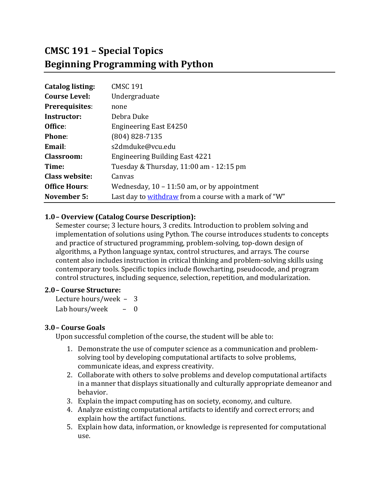# **CMSC 191 – Special Topics Beginning Programming with Python**

| <b>Catalog listing:</b> | <b>CMSC 191</b>                                       |
|-------------------------|-------------------------------------------------------|
| <b>Course Level:</b>    | Undergraduate                                         |
| <b>Prerequisites:</b>   | none                                                  |
| Instructor:             | Debra Duke                                            |
| Office:                 | <b>Engineering East E4250</b>                         |
| Phone:                  | (804) 828-7135                                        |
| Email:                  | s2dmduke@vcu.edu                                      |
| <b>Classroom:</b>       | <b>Engineering Building East 4221</b>                 |
| Time:                   | Tuesday & Thursday, 11:00 am - 12:15 pm               |
| <b>Class website:</b>   | Canvas                                                |
| <b>Office Hours:</b>    | Wednesday, $10 - 11:50$ am, or by appointment         |
| November 5:             | Last day to withdraw from a course with a mark of "W" |

## **1.0– Overview (Catalog Course Description):**

Semester course; 3 lecture hours, 3 credits. Introduction to problem solving and implementation of solutions using Python. The course introduces students to concepts and practice of structured programming, problem-solving, top-down design of algorithms, a Python language syntax, control structures, and arrays. The course content also includes instruction in critical thinking and problem-solving skills using contemporary tools. Specific topics include flowcharting, pseudocode, and program control structures, including sequence, selection, repetition, and modularization.

#### **2.0– Course Structure:**

Lecture hours/week  $-3$ Lab hours/week  $-$  0

#### **3.0– Course Goals**

Upon successful completion of the course, the student will be able to:

- 1. Demonstrate the use of computer science as a communication and problemsolving tool by developing computational artifacts to solve problems, communicate ideas, and express creativity.
- 2. Collaborate with others to solve problems and develop computational artifacts in a manner that displays situationally and culturally appropriate demeanor and behavior.
- 3. Explain the impact computing has on society, economy, and culture.
- 4. Analyze existing computational artifacts to identify and correct errors; and explain how the artifact functions.
- 5. Explain how data, information, or knowledge is represented for computational use.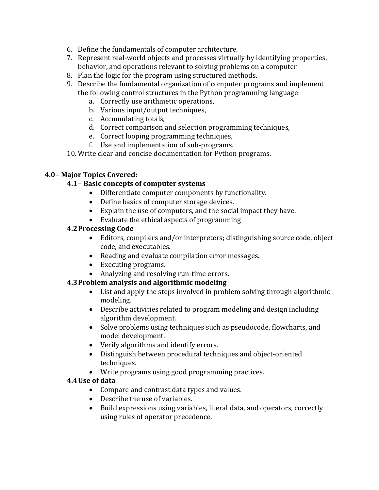- 6. Define the fundamentals of computer architecture.
- 7. Represent real-world objects and processes virtually by identifying properties, behavior, and operations relevant to solving problems on a computer
- 8. Plan the logic for the program using structured methods.
- 9. Describe the fundamental organization of computer programs and implement the following control structures in the Python programming language:
	- a. Correctly use arithmetic operations,
	- b. Various input/output techniques,
	- c. Accumulating totals,
	- d. Correct comparison and selection programming techniques,
	- e. Correct looping programming techniques,
	- f. Use and implementation of sub-programs.
- 10. Write clear and concise documentation for Python programs.

## **4.0– Major Topics Covered:**

## **4.1– Basic concepts of computer systems**

- Differentiate computer components by functionality.
- Define basics of computer storage devices.
- Explain the use of computers, and the social impact they have.
- $\bullet$  Evaluate the ethical aspects of programming

## **4.2Processing Code**

- Editors, compilers and/or interpreters; distinguishing source code, object code, and executables.
- Reading and evaluate compilation error messages.
- Executing programs.
- Analyzing and resolving run-time errors.

# **4.3Problem analysis and algorithmic modeling**

- List and apply the steps involved in problem solving through algorithmic modeling.
- Describe activities related to program modeling and design including algorithm development.
- Solve problems using techniques such as pseudocode, flowcharts, and model development.
- Verify algorithms and identify errors.
- Distinguish between procedural techniques and object-oriented techniques.
- Write programs using good programming practices.

# **4.4Use of data**

- Compare and contrast data types and values.
- Describe the use of variables.
- Build expressions using variables, literal data, and operators, correctly using rules of operator precedence.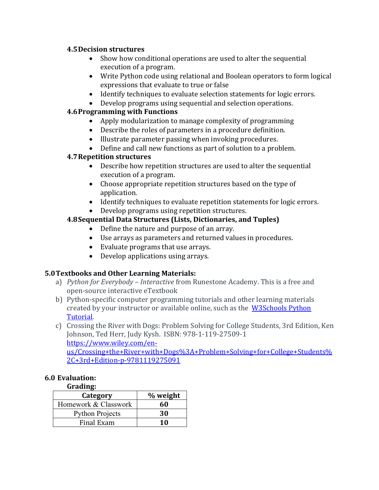#### **4.5Decision structures**

- Show how conditional operations are used to alter the sequential execution of a program.
- Write Python code using relational and Boolean operators to form logical expressions that evaluate to true or false
- Identify techniques to evaluate selection statements for logic errors.
- Develop programs using sequential and selection operations.

# **4.6 Programming with Functions**

- Apply modularization to manage complexity of programming
- $\bullet$  Describe the roles of parameters in a procedure definition.
- Illustrate parameter passing when invoking procedures.
- Define and call new functions as part of solution to a problem.

# **4.7Repetition structures**

- Describe how repetition structures are used to alter the sequential execution of a program.
- Choose appropriate repetition structures based on the type of application.
- Identify techniques to evaluate repetition statements for logic errors.
- Develop programs using repetition structures.

# **4.8Sequential Data Structures (Lists, Dictionaries, and Tuples)**

- Define the nature and purpose of an array.
- Use arrays as parameters and returned values in procedures.
- Evaluate programs that use arrays.
- Develop applications using arrays.

# **5.0Textbooks and Other Learning Materials:**

- a) *Python for Everybody Interactive* from Runestone Academy. This is a free and open-source interactive eTextbook
- b) Python-specific computer programming tutorials and other learning materials created by your instructor or available online, such as the W3Schools Python Tutorial.
- c) Crossing the River with Dogs: Problem Solving for College Students, 3rd Edition, Ken Johnson, Ted Herr, Judy Kysh. ISBN: 978-1-119-27509-1 https://www.wiley.com/enus/Crossing+the+River+with+Dogs%3A+Problem+Solving+for+College+Students% 2C+3rd+Edition-p-9781119275091

# **6.0 Evaluation:**

**Grading:**

| Category               | % weight |
|------------------------|----------|
| Homework & Classwork   | 60       |
| <b>Python Projects</b> | 30       |
| Final Exam             | 10       |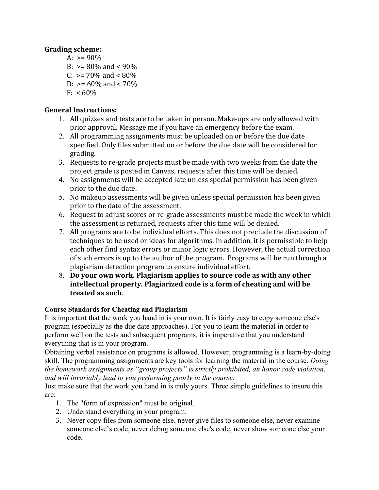## **Grading scheme:**

A:  $> = 90\%$ B:  $> = 80\%$  and  $< 90\%$ C:  $> = 70\%$  and  $< 80\%$ D:  $> = 60\%$  and  $< 70\%$  $F: < 60\%$ 

## **General Instructions:**

- 1. All quizzes and tests are to be taken in person. Make-ups are only allowed with prior approval. Message me if you have an emergency before the exam.
- 2. All programming assignments must be uploaded on or before the due date specified. Only files submitted on or before the due date will be considered for grading.
- 3. Requests to re-grade projects must be made with two weeks from the date the project grade is posted in Canvas, requests after this time will be denied.
- 4. No assignments will be accepted late unless special permission has been given prior to the due date.
- 5. No makeup assessments will be given unless special permission has been given prior to the date of the assessment.
- 6. Request to adjust scores or re-grade assessments must be made the week in which the assessment is returned, requests after this time will be denied.
- 7. All programs are to be individual efforts. This does not preclude the discussion of techniques to be used or ideas for algorithms. In addition, it is permissible to help each other find syntax errors or minor logic errors. However, the actual correction of such errors is up to the author of the program. Programs will be run through a plagiarism detection program to ensure individual effort.
- 8. Do your own work. Plagiarism applies to source code as with any other **intellectual property. Plagiarized code is a form of cheating and will be treated as such**.

# **Course Standards for Cheating and Plagiarism**

It is important that the work you hand in is your own. It is fairly easy to copy someone else's program (especially as the due date approaches). For you to learn the material in order to perform well on the tests and subsequent programs, it is imperative that you understand everything that is in your program.

Obtaining verbal assistance on programs is allowed. However, programming is a learn-by-doing skill. The programming assignments are key tools for learning the material in the course. *Doing the homework assignments as "group projects" is strictly prohibited, an honor code violation, and will invariably lead to you performing poorly in the course.* 

Just make sure that the work you hand in is truly yours. Three simple guidelines to insure this are:

- 1. The "form of expression" must be original.
- 2. Understand everything in your program.
- 3. Never copy files from someone else, never give files to someone else, never examine someone else's code, never debug someone else's code, never show someone else your code.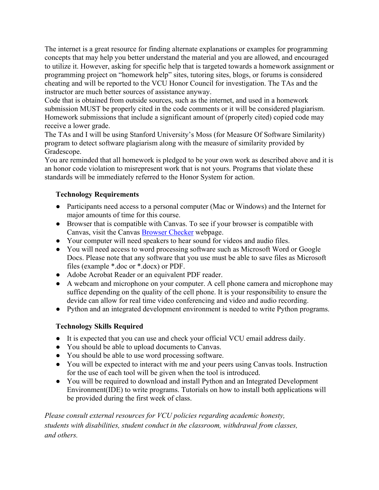The internet is a great resource for finding alternate explanations or examples for programming concepts that may help you better understand the material and you are allowed, and encouraged to utilize it. However, asking for specific help that is targeted towards a homework assignment or programming project on "homework help" sites, tutoring sites, blogs, or forums is considered cheating and will be reported to the VCU Honor Council for investigation. The TAs and the instructor are much better sources of assistance anyway.

Code that is obtained from outside sources, such as the internet, and used in a homework submission MUST be properly cited in the code comments or it will be considered plagiarism. Homework submissions that include a significant amount of (properly cited) copied code may receive a lower grade.

The TAs and I will be using Stanford University's Moss (for Measure Of Software Similarity) program to detect software plagiarism along with the measure of similarity provided by Gradescope.

You are reminded that all homework is pledged to be your own work as described above and it is an honor code violation to misrepresent work that is not yours. Programs that violate these standards will be immediately referred to the Honor System for action.

## **Technology Requirements**

- Participants need access to a personal computer (Mac or Windows) and the Internet for major amounts of time for this course.
- Browser that is compatible with Canvas. To see if your browser is compatible with Canvas, visit the Canvas Browser Checker webpage.
- Your computer will need speakers to hear sound for videos and audio files.
- You will need access to word processing software such as Microsoft Word or Google Docs. Please note that any software that you use must be able to save files as Microsoft files (example \*.doc or \*.docx) or PDF.
- Adobe Acrobat Reader or an equivalent PDF reader.
- A webcam and microphone on your computer. A cell phone camera and microphone may suffice depending on the quality of the cell phone. It is your responsibility to ensure the devide can allow for real time video conferencing and video and audio recording.
- Python and an integrated development environment is needed to write Python programs.

# **Technology Skills Required**

- It is expected that you can use and check your official VCU email address daily.
- You should be able to upload documents to Canvas.
- You should be able to use word processing software.
- You will be expected to interact with me and your peers using Canvas tools. Instruction for the use of each tool will be given when the tool is introduced.
- You will be required to download and install Python and an Integrated Development Environment(IDE) to write programs. Tutorials on how to install both applications will be provided during the first week of class.

*Please consult external resources for VCU policies regarding academic honesty, students with disabilities, student conduct in the classroom, withdrawal from classes, and others.*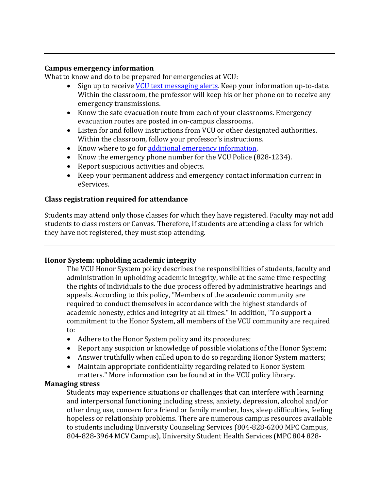#### **Campus emergency information**

What to know and do to be prepared for emergencies at VCU:

- Sign up to receive **VCU** text messaging alerts. Keep your information up-to-date. Within the classroom, the professor will keep his or her phone on to receive any emergency transmissions.
- Know the safe evacuation route from each of your classrooms. Emergency evacuation routes are posted in on-campus classrooms.
- Listen for and follow instructions from VCU or other designated authorities. Within the classroom, follow your professor's instructions.
- Know where to go for additional emergency information.
- Know the emergency phone number for the VCU Police (828-1234).
- Report suspicious activities and objects.
- Keep your permanent address and emergency contact information current in eServices.

#### **Class registration required for attendance**

Students may attend only those classes for which they have registered. Faculty may not add students to class rosters or Canvas. Therefore, if students are attending a class for which they have not registered, they must stop attending.

#### **Honor System: upholding academic integrity**

The VCU Honor System policy describes the responsibilities of students, faculty and administration in upholding academic integrity, while at the same time respecting the rights of individuals to the due process offered by administrative hearings and appeals. According to this policy, "Members of the academic community are required to conduct themselves in accordance with the highest standards of academic honesty, ethics and integrity at all times." In addition, "To support a commitment to the Honor System, all members of the VCU community are required to:

- Adhere to the Honor System policy and its procedures;
- Report any suspicion or knowledge of possible violations of the Honor System;
- Answer truthfully when called upon to do so regarding Honor System matters;
- Maintain appropriate confidentiality regarding related to Honor System matters." More information can be found at in the VCU policy library.

#### **Managing stress**

Students may experience situations or challenges that can interfere with learning and interpersonal functioning including stress, anxiety, depression, alcohol and/or other drug use, concern for a friend or family member, loss, sleep difficulties, feeling hopeless or relationship problems. There are numerous campus resources available to students including University Counseling Services (804-828-6200 MPC Campus, 804-828-3964 MCV Campus), University Student Health Services (MPC 804 828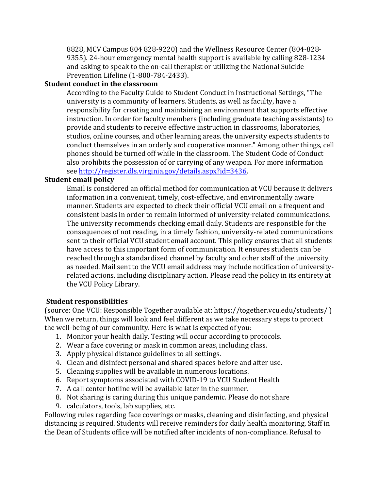8828, MCV Campus 804 828-9220) and the Wellness Resource Center (804-828-9355). 24-hour emergency mental health support is available by calling 828-1234 and asking to speak to the on-call therapist or utilizing the National Suicide Prevention Lifeline (1-800-784-2433).

## **Student conduct in the classroom**

According to the Faculty Guide to Student Conduct in Instructional Settings, "The university is a community of learners. Students, as well as faculty, have a responsibility for creating and maintaining an environment that supports effective instruction. In order for faculty members (including graduate teaching assistants) to provide and students to receive effective instruction in classrooms, laboratories, studios, online courses, and other learning areas, the university expects students to conduct themselves in an orderly and cooperative manner." Among other things, cell phones should be turned off while in the classroom. The Student Code of Conduct also prohibits the possession of or carrying of any weapon. For more information see http://register.dls.virginia.gov/details.aspx?id=3436.

#### **Student email policy**

Email is considered an official method for communication at VCU because it delivers information in a convenient, timely, cost-effective, and environmentally aware manner. Students are expected to check their official VCU email on a frequent and consistent basis in order to remain informed of university-related communications. The university recommends checking email daily. Students are responsible for the consequences of not reading, in a timely fashion, university-related communications sent to their official VCU student email account. This policy ensures that all students have access to this important form of communication. It ensures students can be reached through a standardized channel by faculty and other staff of the university as needed. Mail sent to the VCU email address may include notification of universityrelated actions, including disciplinary action. Please read the policy in its entirety at the VCU Policy Library.

#### **Student responsibilities**

(source: One VCU: Responsible Together available at: https://together.vcu.edu/students/) When we return, things will look and feel different as we take necessary steps to protect the well-being of our community. Here is what is expected of you:

- 1. Monitor your health daily. Testing will occur according to protocols.
- 2. Wear a face covering or mask in common areas, including class.
- 3. Apply physical distance guidelines to all settings.
- 4. Clean and disinfect personal and shared spaces before and after use.
- 5. Cleaning supplies will be available in numerous locations.
- 6. Report symptoms associated with COVID-19 to VCU Student Health
- 7. A call center hotline will be available later in the summer.
- 8. Not sharing is caring during this unique pandemic. Please do not share
- 9. calculators, tools, lab supplies, etc.

Following rules regarding face coverings or masks, cleaning and disinfecting, and physical distancing is required. Students will receive reminders for daily health monitoring. Staff in the Dean of Students office will be notified after incidents of non-compliance. Refusal to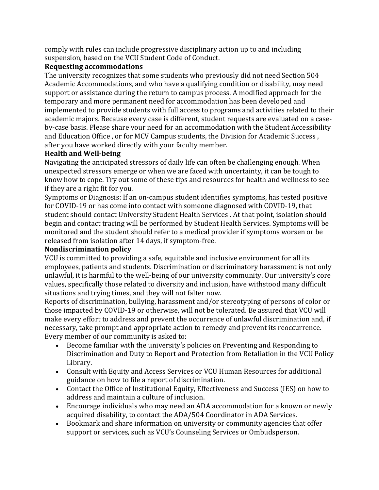comply with rules can include progressive disciplinary action up to and including suspension, based on the VCU Student Code of Conduct.

## **Requesting accommodations**

The university recognizes that some students who previously did not need Section 504 Academic Accommodations, and who have a qualifying condition or disability, may need support or assistance during the return to campus process. A modified approach for the temporary and more permanent need for accommodation has been developed and implemented to provide students with full access to programs and activities related to their academic majors. Because every case is different, student requests are evaluated on a caseby-case basis. Please share your need for an accommodation with the Student Accessibility and Education Office , or for MCV Campus students, the Division for Academic Success, after you have worked directly with your faculty member.

## **Health and Well-being**

Navigating the anticipated stressors of daily life can often be challenging enough. When unexpected stressors emerge or when we are faced with uncertainty, it can be tough to know how to cope. Try out some of these tips and resources for health and wellness to see if they are a right fit for you.

Symptoms or Diagnosis: If an on-campus student identifies symptoms, has tested positive for COVID-19 or has come into contact with someone diagnosed with COVID-19, that student should contact University Student Health Services . At that point, isolation should begin and contact tracing will be performed by Student Health Services. Symptoms will be monitored and the student should refer to a medical provider if symptoms worsen or be released from isolation after 14 days, if symptom-free.

## **Nondiscrimination policy**

VCU is committed to providing a safe, equitable and inclusive environment for all its employees, patients and students. Discrimination or discriminatory harassment is not only unlawful, it is harmful to the well-being of our university community. Our university's core values, specifically those related to diversity and inclusion, have withstood many difficult situations and trying times, and they will not falter now.

Reports of discrimination, bullying, harassment and/or stereotyping of persons of color or those impacted by COVID-19 or otherwise, will not be tolerated. Be assured that VCU will make every effort to address and prevent the occurrence of unlawful discrimination and, if necessary, take prompt and appropriate action to remedy and prevent its reoccurrence. Every member of our community is asked to:

- Become familiar with the university's policies on Preventing and Responding to Discrimination and Duty to Report and Protection from Retaliation in the VCU Policy Library.
- Consult with Equity and Access Services or VCU Human Resources for additional guidance on how to file a report of discrimination.
- Contact the Office of Institutional Equity, Effectiveness and Success (IES) on how to address and maintain a culture of inclusion.
- Encourage individuals who may need an ADA accommodation for a known or newly acquired disability, to contact the ADA/504 Coordinator in ADA Services.
- Bookmark and share information on university or community agencies that offer support or services, such as VCU's Counseling Services or Ombudsperson.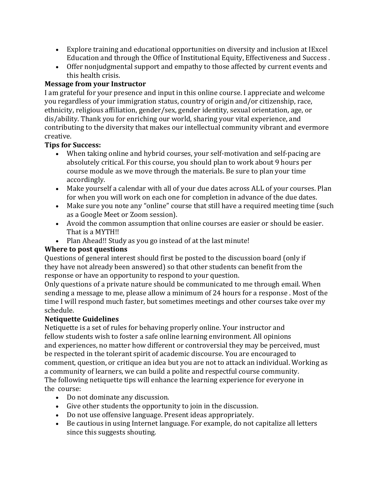- Explore training and educational opportunities on diversity and inclusion at IExcel Education and through the Office of Institutional Equity, Effectiveness and Success.
- Offer nonjudgmental support and empathy to those affected by current events and this health crisis.

# **Message from your Instructor**

I am grateful for your presence and input in this online course. I appreciate and welcome you regardless of your immigration status, country of origin and/or citizenship, race, ethnicity, religious affiliation, gender/sex, gender identity, sexual orientation, age, or dis/ability. Thank you for enriching our world, sharing your vital experience, and contributing to the diversity that makes our intellectual community vibrant and evermore creative.

# **Tips for Success:**

- When taking online and hybrid courses, your self-motivation and self-pacing are absolutely critical. For this course, you should plan to work about 9 hours per course module as we move through the materials. Be sure to plan your time accordingly.
- Make yourself a calendar with all of your due dates across ALL of your courses. Plan for when you will work on each one for completion in advance of the due dates.
- Make sure you note any "online" course that still have a required meeting time (such as a Google Meet or Zoom session).
- Avoid the common assumption that online courses are easier or should be easier. That is a MYTH!!
- Plan Ahead!! Study as you go instead of at the last minute!

# **Where to post questions**

Questions of general interest should first be posted to the discussion board (only if they have not already been answered) so that other students can benefit from the response or have an opportunity to respond to your question.

Only questions of a private nature should be communicated to me through email. When sending a message to me, please allow a minimum of 24 hours for a response. Most of the time I will respond much faster, but sometimes meetings and other courses take over my schedule.

# **Netiquette Guidelines**

Netiquette is a set of rules for behaving properly online. Your instructor and fellow students wish to foster a safe online learning environment. All opinions and experiences, no matter how different or controversial they may be perceived, must be respected in the tolerant spirit of academic discourse. You are encouraged to comment, question, or critique an idea but you are not to attack an individual. Working as a community of learners, we can build a polite and respectful course community. The following netiquette tips will enhance the learning experience for everyone in the course:

- Do not dominate any discussion.
- Give other students the opportunity to join in the discussion.
- Do not use offensive language. Present ideas appropriately.
- Be cautious in using Internet language. For example, do not capitalize all letters since this suggests shouting.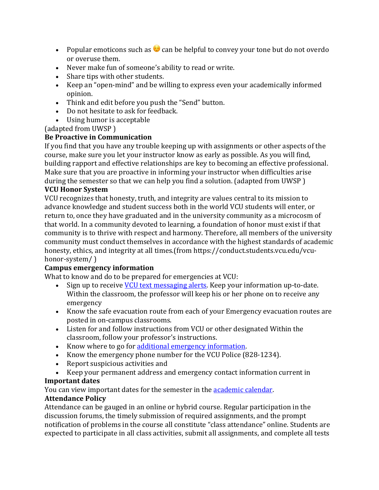- Popular emoticons such as  $\odot$  can be helpful to convey your tone but do not overdo or overuse them.
- Never make fun of someone's ability to read or write.
- Share tips with other students.
- Keep an "open-mind" and be willing to express even your academically informed opinion.
- Think and edit before you push the "Send" button.
- Do not hesitate to ask for feedback.
- Using humor is acceptable

(adapted from UWSP)

# **Be Proactive in Communication**

If you find that you have any trouble keeping up with assignments or other aspects of the course, make sure you let your instructor know as early as possible. As you will find, building rapport and effective relationships are key to becoming an effective professional. Make sure that you are proactive in informing your instructor when difficulties arise during the semester so that we can help you find a solution. (adapted from UWSP)

# **VCU Honor System**

VCU recognizes that honesty, truth, and integrity are values central to its mission to advance knowledge and student success both in the world VCU students will enter, or return to, once they have graduated and in the university community as a microcosm of that world. In a community devoted to learning, a foundation of honor must exist if that community is to thrive with respect and harmony. Therefore, all members of the university community must conduct themselves in accordance with the highest standards of academic honesty, ethics, and integrity at all times.(from https://conduct.students.vcu.edu/vcuhonor-system/)

# **Campus emergency information**

What to know and do to be prepared for emergencies at VCU:

- Sign up to receive VCU text messaging alerts. Keep your information up-to-date. Within the classroom, the professor will keep his or her phone on to receive any emergency
- Know the safe evacuation route from each of your Emergency evacuation routes are posted in on-campus classrooms.
- Listen for and follow instructions from VCU or other designated Within the classroom, follow your professor's instructions.
- Know where to go for additional emergency information.
- Know the emergency phone number for the VCU Police (828-1234).
- Report suspicious activities and
- Keep your permanent address and emergency contact information current in

# **Important dates**

You can view important dates for the semester in the **academic calendar**.

# **Attendance Policy**

Attendance can be gauged in an online or hybrid course. Regular participation in the discussion forums, the timely submission of required assignments, and the prompt notification of problems in the course all constitute "class attendance" online. Students are expected to participate in all class activities, submit all assignments, and complete all tests